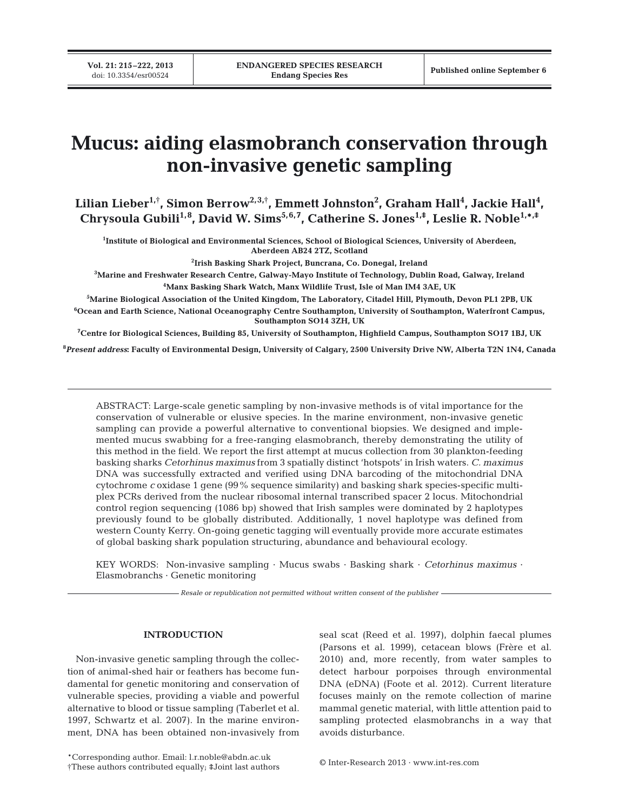# **Mucus: aiding elasmobranch conservation through non-invasive genetic sampling**

**Lilian Lieber1,† , Simon Berrow2,3,† , Emmett Johnston2 , Graham Hall4 , Jackie Hall4 , Chrysoula Gubili1,8, David W. Sims5,6,7, Catherine S. Jones1,‡, Leslie R. Noble1,\*,‡**

**1 Institute of Biological and Environmental Sciences, School of Biological Sciences, University of Aberdeen, Aberdeen AB24 2TZ, Scotland**

**2 Irish Basking Shark Project, Buncrana, Co. Donegal, Ireland**

**3 Marine and Freshwater Research Centre, Galway-Mayo Institute of Technology, Dublin Road, Galway, Ireland 4 Manx Basking Shark Watch, Manx Wildlife Trust, Isle of Man IM4 3AE, UK**

**5 Marine Biological Association of the United Kingdom, The Laboratory, Citadel Hill, Plymouth, Devon PL1 2PB, UK 6 Ocean and Earth Science, National Oceanography Centre Southampton, University of Southampton, Waterfront Campus, Southampton SO14 3ZH, UK**

**7 Centre for Biological Sciences, Building 85, University of Southampton, Highfield Campus, Southampton SO17 1BJ, UK**

**8** *Present address***: Faculty of Environmental Design, University of Calgary, 2500 University Drive NW, Alberta T2N 1N4, Canada**

ABSTRACT: Large-scale genetic sampling by non-invasive methods is of vital importance for the conservation of vulnerable or elusive species. In the marine environment, non-invasive genetic sampling can provide a powerful alternative to conventional biopsies. We designed and implemented mucus swabbing for a free-ranging elasmobranch, thereby demonstrating the utility of this method in the field. We report the first attempt at mucus collection from 30 plankton-feeding basking sharks *Cetorhinus maximus* from 3 spatially distinct 'hotspots' in Irish waters. *C. maximus* DNA was successfully extracted and verified using DNA barcoding of the mitochondrial DNA cytochrome *c* oxidase 1 gene (99% sequence similarity) and basking shark species-specific multiplex PCRs derived from the nuclear ribosomal internal transcribed spacer 2 locus. Mitochondrial control region sequencing (1086 bp) showed that Irish samples were dominated by 2 haplotypes previously found to be globally distributed. Additionally, 1 novel haplotype was defined from western County Kerry. On-going genetic tagging will eventually provide more accurate estimates of global basking shark population structuring, abundance and behavioural ecology.

KEY WORDS: Non-invasive sampling · Mucus swabs · Basking shark · *Cetorhinus maximus* · Elasmobranchs · Genetic monitoring

*Resale or republication not permitted without written consent of the publisher*

## **INTRODUCTION**

Non-invasive genetic sampling through the collection of animal-shed hair or feathers has become fundamental for genetic monitoring and conservation of vulnerable species, providing a viable and powerful alternative to blood or tissue sampling (Taberlet et al. 1997, Schwartz et al. 2007). In the marine environment, DNA has been obtained non-invasively from seal scat (Reed et al. 1997), dolphin faecal plumes (Parsons et al. 1999), cetacean blows (Frère et al. 2010) and, more recently, from water samples to detect harbour porpoises through environmental DNA (eDNA) (Foote et al. 2012). Current literature focuses mainly on the remote collection of marine mammal genetic material, with little attention paid to sampling protected elasmobranchs in a way that avoids disturbance.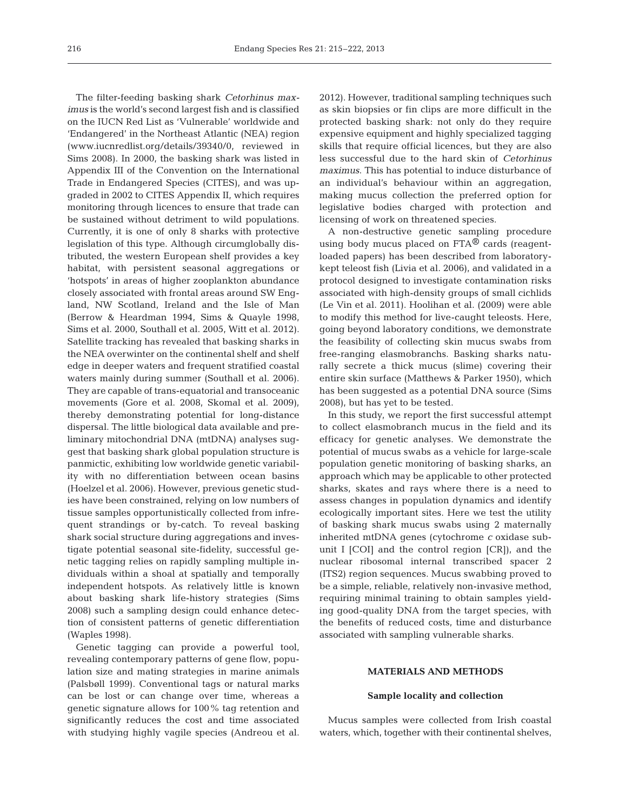The filter-feeding basking shark *Cetorhinus maximus* is the world's second largest fish and is classified on the IUCN Red List as 'Vulnerable' worldwide and 'Endangered' in the Northeast Atlantic (NEA) region (www.iucnredlist.org/details/39340/0, reviewed in Sims 2008). In 2000, the basking shark was listed in Appendix III of the Convention on the International Trade in Endangered Species (CITES), and was upgraded in 2002 to CITES Appendix II, which requires monitoring through licences to ensure that trade can be sustained without detriment to wild populations. Currently, it is one of only 8 sharks with protective legislation of this type. Although circumglobally distributed, the western European shelf provides a key habitat, with persistent seasonal aggregations or 'hotspots' in areas of higher zooplankton abundance closely associated with frontal areas around SW England, NW Scotland, Ireland and the Isle of Man (Berrow & Heardman 1994, Sims & Quayle 1998, Sims et al. 2000, Southall et al. 2005, Witt et al. 2012). Satellite tracking has revealed that basking sharks in the NEA overwinter on the continental shelf and shelf edge in deeper waters and frequent stratified coastal waters mainly during summer (Southall et al. 2006). They are capable of trans-equatorial and transoceanic movements (Gore et al. 2008, Skomal et al. 2009), thereby demonstrating potential for long-distance dispersal. The little biological data available and preliminary mitochondrial DNA (mtDNA) analyses suggest that basking shark global population structure is panmictic, exhibiting low worldwide genetic variability with no differentiation between ocean basins (Hoelzel et al. 2006). However, previous genetic studies have been constrained, relying on low numbers of tissue samples opportunistically collected from infrequent strandings or by-catch. To reveal basking shark social structure during aggregations and investigate potential seasonal site-fidelity, successful genetic tagging relies on rapidly sampling multiple individuals within a shoal at spatially and temporally independent hotspots. As relatively little is known about basking shark life-history strategies (Sims 2008) such a sampling design could enhance detection of consistent patterns of genetic differentiation (Waples 1998).

Genetic tagging can provide a powerful tool, revealing contemporary patterns of gene flow, population size and mating strategies in marine animals (Palsbøll 1999). Conventional tags or natural marks can be lost or can change over time, whereas a genetic signature allows for 100% tag retention and significantly reduces the cost and time associated with studying highly vagile species (Andreou et al.

2012). However, traditional sampling techniques such as skin biopsies or fin clips are more difficult in the protected basking shark: not only do they require expensive equipment and highly specialized tagging skills that require official licences, but they are also less successful due to the hard skin of *Cetorhinus maximus*. This has potential to induce disturbance of an individual's behaviour within an aggregation, making mucus collection the preferred option for legislative bodies charged with protection and licensing of work on threatened species.

A non-destructive genetic sampling procedure using body mucus placed on FTA<sup>®</sup> cards (reagentloaded papers) has been described from laboratorykept teleost fish (Livia et al. 2006), and validated in a protocol designed to investigate contamination risks associated with high-density groups of small cichlids (Le Vin et al. 2011). Hoolihan et al. (2009) were able to modify this method for live-caught teleosts. Here, going beyond laboratory conditions, we demonstrate the feasibility of collecting skin mucus swabs from free-ranging elasmobranchs. Basking sharks naturally secrete a thick mucus (slime) covering their entire skin surface (Matthews & Parker 1950), which has been suggested as a potential DNA source (Sims 2008), but has yet to be tested.

In this study, we report the first successful attempt to collect elasmobranch mucus in the field and its efficacy for genetic analyses. We demonstrate the potential of mucus swabs as a vehicle for large-scale population genetic monitoring of basking sharks, an approach which may be applicable to other protected sharks, skates and rays where there is a need to assess changes in population dynamics and identify ecologically important sites. Here we test the utility of basking shark mucus swabs using 2 maternally inherited mtDNA genes (cytochrome *c* oxidase subunit I [COI] and the control region [CR]), and the nuclear ribosomal internal transcribed spacer 2 (ITS2) region sequences. Mucus swabbing proved to be a simple, reliable, relatively non-invasive method, requiring minimal training to obtain samples yielding good-quality DNA from the target species, with the benefits of reduced costs, time and disturbance associated with sampling vulnerable sharks.

### **MATERIALS AND METHODS**

#### **Sample locality and collection**

Mucus samples were collected from Irish coastal waters, which, together with their continental shelves,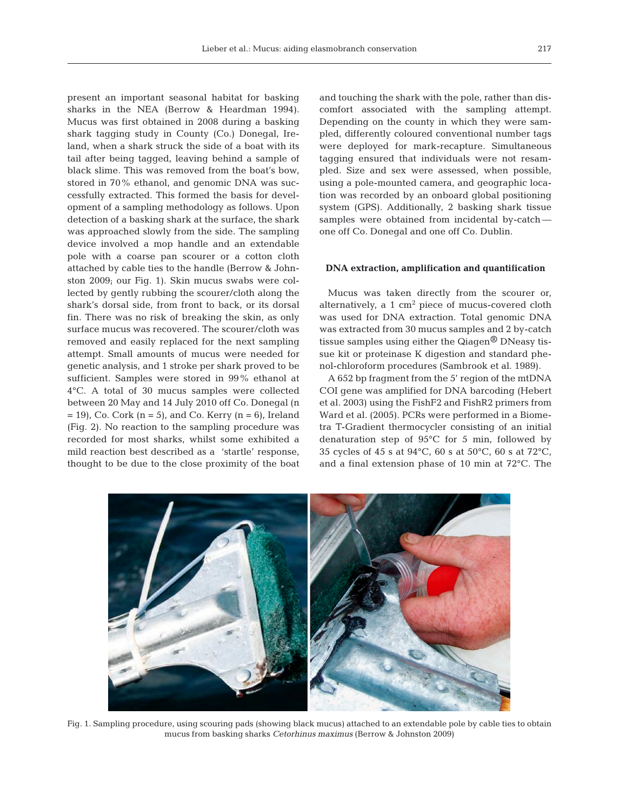present an important seasonal habitat for basking sharks in the NEA (Berrow & Heardman 1994). Mucus was first obtained in 2008 during a basking shark tagging study in County (Co.) Donegal, Ireland, when a shark struck the side of a boat with its tail after being tagged, leaving behind a sample of black slime. This was removed from the boat's bow, stored in 70% ethanol, and genomic DNA was successfully extracted. This formed the basis for development of a sampling methodology as follows. Upon detection of a basking shark at the surface, the shark was approached slowly from the side. The sampling device involved a mop handle and an extendable pole with a coarse pan scourer or a cotton cloth attached by cable ties to the handle (Berrow & Johnston 2009; our Fig. 1). Skin mucus swabs were collected by gently rubbing the scourer/cloth along the shark's dorsal side, from front to back, or its dorsal fin. There was no risk of breaking the skin, as only surface mucus was recovered. The scourer/cloth was removed and easily replaced for the next sampling attempt. Small amounts of mucus were needed for genetic analysis, and 1 stroke per shark proved to be sufficient. Samples were stored in 99% ethanol at 4°C. A total of 30 mucus samples were collected between 20 May and 14 July 2010 off Co. Donegal (n  $= 19$ , Co. Cork (n = 5), and Co. Kerry (n = 6), Ireland (Fig. 2). No reaction to the sampling procedure was recorded for most sharks, whilst some exhibited a mild reaction best described as a 'startle' response, thought to be due to the close proximity of the boat

and touching the shark with the pole, rather than discomfort associated with the sampling attempt. Depending on the county in which they were sampled, differently coloured conventional number tags were deployed for mark-recapture. Simultaneous tagging ensured that individuals were not resampled. Size and sex were assessed, when possible, using a pole-mounted camera, and geographic location was recorded by an onboard global positioning system (GPS). Additionally, 2 basking shark tissue samples were obtained from incidental by-catch one off Co. Donegal and one off Co. Dublin.

#### **DNA extraction, amplification and quantification**

Mucus was taken directly from the scourer or, alternatively, a  $1 \text{ cm}^2$  piece of mucus-covered cloth was used for DNA extraction. Total genomic DNA was extracted from 30 mucus samples and 2 by-catch tissue samples using either the Qiagen® DNeasy tissue kit or proteinase K digestion and standard phenol-chloroform procedures (Sambrook et al. 1989).

A 652 bp fragment from the 5' region of the mtDNA COI gene was amplified for DNA barcoding (Hebert et al. 2003) using the FishF2 and FishR2 primers from Ward et al. (2005). PCRs were performed in a Biometra T-Gradient thermocycler consisting of an initial denaturation step of 95°C for 5 min, followed by 35 cycles of 45 s at 94°C, 60 s at 50°C, 60 s at 72°C, and a final extension phase of 10 min at 72°C. The



Fig. 1. Sampling procedure, using scouring pads (showing black mucus) attached to an extendable pole by cable ties to obtain mucus from basking sharks *Cetorhinus maximus* (Berrow & Johnston 2009)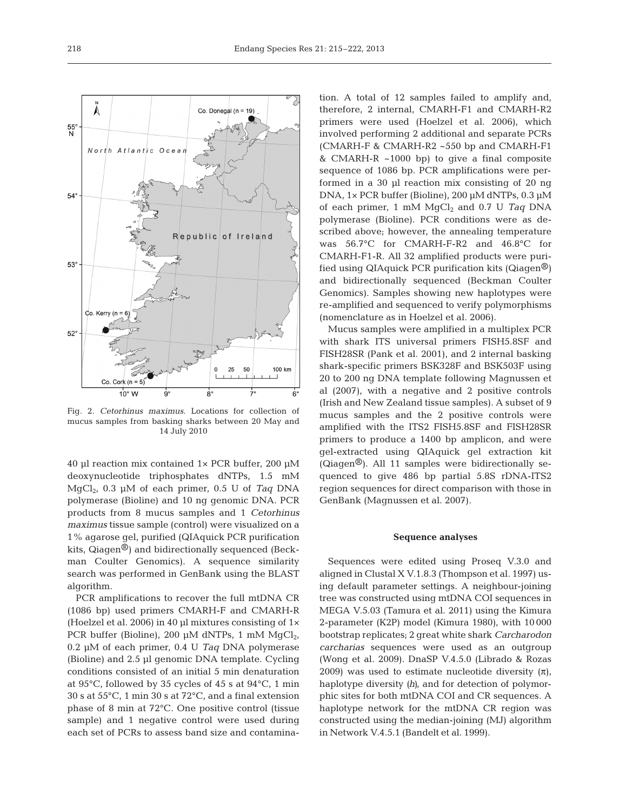Fig. 2. *Cetorhinus maximus*. Locations for collection of mucus samples from basking sharks between 20 May and 14 July 2010

40 µl reaction mix contained 1× PCR buffer, 200 µM deoxynucleotide triphosphates dNTPs, 1.5 mM MgCl2, 0.3 µM of each primer, 0.5 U of *Taq* DNA polymerase (Bioline) and 10 ng genomic DNA. PCR products from 8 mucus samples and 1 *Cetorhinus maximus* tissue sample (control) were visualized on a 1% agarose gel, purified (QIAquick PCR purification kits, Qiagen<sup>®</sup>) and bidirectionally sequenced (Beckman Coulter Genomics). A sequence similarity search was performed in GenBank using the BLAST algorithm.

PCR amplifications to recover the full mtDNA CR (1086 bp) used primers CMARH-F and CMARH-R (Hoelzel et al. 2006) in 40  $\mu$ l mixtures consisting of 1 $\times$ PCR buffer (Bioline), 200 µM dNTPs, 1 mM  $MqCl<sub>2</sub>$ , 0.2 µM of each primer, 0.4 U *Taq* DNA polymerase (Bioline) and 2.5 µl genomic DNA template. Cycling conditions consisted of an initial 5 min denaturation at 95°C, followed by 35 cycles of 45 s at 94°C, 1 min 30 s at 55°C, 1 min 30 s at 72°C, and a final extension phase of 8 min at 72°C. One positive control (tissue sample) and 1 negative control were used during each set of PCRs to assess band size and contamina-

tion. A total of 12 samples failed to amplify and, therefore, 2 internal, CMARH-F1 and CMARH-R2 primers were used (Hoelzel et al. 2006), which involved performing 2 additional and separate PCRs (CMARH-F & CMARH-R2 ~550 bp and CMARH-F1 & CMARH-R ~1000 bp) to give a final composite sequence of 1086 bp. PCR amplifications were performed in a 30 µl reaction mix consisting of 20 ng DNA, 1× PCR buffer (Bioline), 200 µM dNTPs, 0.3 µM of each primer, 1 mM MgCl<sub>2</sub> and 0.7 U Taq DNA polymerase (Bioline). PCR conditions were as described above; however, the annealing temperature was 56.7°C for CMARH-F-R2 and 46.8°C for CMARH-F1-R. All 32 amplified products were purified using QIAquick PCR purification kits (Qiagen<sup>®</sup>) and bidirectionally sequenced (Beckman Coulter Genomics). Samples showing new haplotypes were re-amplified and sequenced to verify polymorphisms (nomenclature as in Hoelzel et al. 2006).

Mucus samples were amplified in a multiplex PCR with shark ITS universal primers FISH5.8SF and FISH28SR (Pank et al. 2001), and 2 internal basking shark-specific primers BSK328F and BSK503F using 20 to 200 ng DNA template following Magnussen et al (2007), with a negative and 2 positive controls (Irish and New Zealand tissue samples). A subset of 9 mucus samples and the 2 positive controls were amplified with the ITS2 FISH5.8SF and FISH28SR primers to produce a 1400 bp amplicon, and were gel-extracted using QIAquick gel extraction kit ( $\alpha$ iagen<sup>®</sup>). All 11 samples were bidirectionally sequenced to give 486 bp partial 5.8S rDNA-ITS2 region sequences for direct comparison with those in GenBank (Magnussen et al. 2007).

#### **Sequence analyses**

Sequences were edited using Proseq V.3.0 and aligned in Clustal X V.1.8.3 (Thompson et al. 1997) using default parameter settings. A neighbour-joining tree was constructed using mtDNA COI sequences in MEGA V.5.03 (Tamura et al. 2011) using the Kimura 2-parameter (K2P) model (Kimura 1980), with 10 000 bootstrap replicates; 2 great white shark *Carcharodon carcharias* sequences were used as an outgroup (Wong et al. 2009). DnaSP V.4.5.0 (Librado & Rozas 2009) was used to estimate nucleotide diversity  $(\pi)$ , haplotype diversity *(h)*, and for detection of polymorphic sites for both mtDNA COI and CR sequences. A haplotype network for the mtDNA CR region was constructed using the median-joining (MJ) algorithm in Network V.4.5.1 (Bandelt et al. 1999).

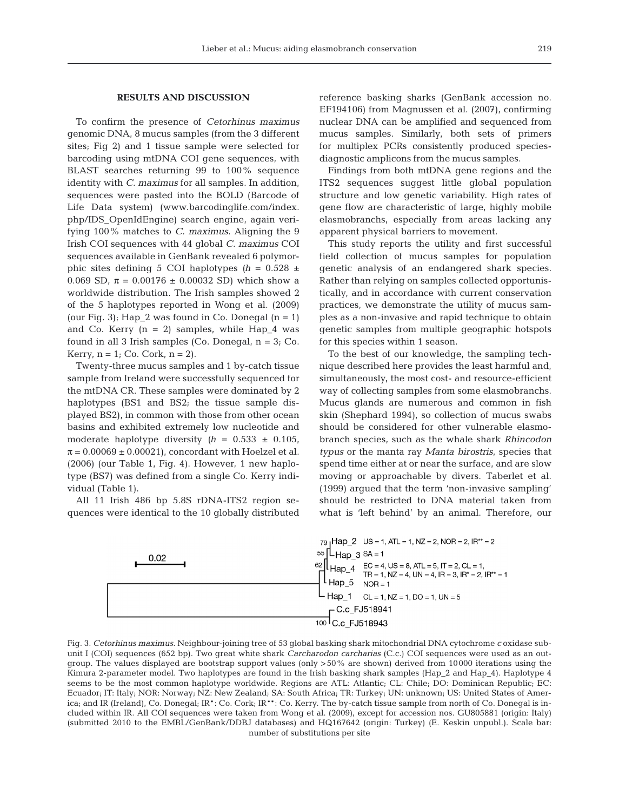## **RESULTS AND DISCUSSION**

To confirm the presence of *Cetorhinus maximus* genomic DNA, 8 mucus samples (from the 3 different sites; Fig 2) and 1 tissue sample were selected for barcoding using mtDNA COI gene sequences, with BLAST searches returning 99 to 100% sequence identity with *C. maximus* for all samples. In addition, sequences were pasted into the BOLD (Barcode of Life Data system) (www.barcodinglife.com/index. php/IDS\_OpenIdEngine) search engine, again verifying 100% matches to *C. maximus*. Aligning the 9 Irish COI sequences with 44 global *C. maximus* COI sequences available in GenBank revealed 6 polymorphic sites defining 5 COI haplotypes  $(h = 0.528 \pm 1)$ 0.069 SD,  $\pi = 0.00176 \pm 0.00032$  SD) which show a worldwide distribution. The Irish samples showed 2 of the 5 haplotypes reported in Wong et al. (2009) (our Fig. 3); Hap 2 was found in Co. Donegal  $(n = 1)$ and Co. Kerry  $(n = 2)$  samples, while Hap\_4 was found in all 3 Irish samples (Co. Donegal,  $n = 3$ ; Co. Kerry,  $n = 1$ ; Co. Cork,  $n = 2$ ).

Twenty-three mucus samples and 1 by-catch tissue sample from Ireland were successfully sequenced for the mtDNA CR. These samples were dominated by 2 haplotypes (BS1 and BS2; the tissue sample displayed BS2), in common with those from other ocean basins and exhibited extremely low nucleotide and moderate haplotype diversity  $(h = 0.533 \pm 0.105)$ ,  $\pi$  = 0.00069 ± 0.00021), concordant with Hoelzel et al. (2006) (our Table 1, Fig. 4). However, 1 new haplotype (BS7) was defined from a single Co. Kerry individual (Table 1).

All 11 Irish 486 bp 5.8S rDNA-ITS2 region sequences were identical to the 10 globally distributed reference basking sharks (GenBank accession no. EF194106) from Magnussen et al. (2007), confirming nuclear DNA can be amplified and sequenced from mucus samples. Similarly, both sets of primers for multiplex PCRs consistently produced speciesdiagnostic amplicons from the mucus samples.

Findings from both mtDNA gene regions and the ITS2 sequences suggest little global population structure and low genetic variability. High rates of gene flow are characteristic of large, highly mobile elasmobranchs, especially from areas lacking any apparent physical barriers to movement.

This study reports the utility and first successful field collection of mucus samples for population genetic analysis of an endangered shark species. Rather than relying on samples collected opportunistically, and in accordance with current conservation practices, we demonstrate the utility of mucus samples as a non-invasive and rapid technique to obtain genetic samples from multiple geographic hotspots for this species within 1 season.

To the best of our knowledge, the sampling technique described here provides the least harmful and, simultaneously, the most cost- and resource-efficient way of collecting samples from some elasmobranchs. Mucus glands are numerous and common in fish skin (Shephard 1994), so collection of mucus swabs should be considered for other vulnerable elasmobranch species, such as the whale shark *Rhincodon typus* or the manta ray *Manta birostris*, species that spend time either at or near the surface, and are slow moving or approachable by divers. Taberlet et al. (1999) argued that the term 'non-invasive sampling' should be restricted to DNA material taken from what is 'left behind' by an animal. Therefore, our



Fig. 3. *Cetorhinus maximus*. Neighbour-joining tree of 53 global basking shark mitochondrial DNA cytochrome *c* oxidase subunit I (COI) sequences (652 bp). Two great white shark *Carcharodon carcharias* (C.c.) COI sequences were used as an outgroup. The values displayed are bootstrap support values (only >50% are shown) derived from 10000 iterations using the Kimura 2-parameter model. Two haplotypes are found in the Irish basking shark samples (Hap\_2 and Hap\_4). Haplotype 4 seems to be the most common haplotype worldwide. Regions are ATL: Atlantic; CL: Chile; DO: Dominican Republic; EC: Ecuador; IT: Italy; NOR: Norway; NZ: New Zealand; SA: South Africa; TR: Turkey; UN: unknown; US: United States of America; and IR (Ireland), Co. Donegal; IR\*: Co. Cork; IR\*\*: Co. Kerry. The by-catch tissue sample from north of Co. Donegal is included within IR. All COI sequences were taken from Wong et al. (2009), except for accession nos. GU805881 (origin: Italy) (submitted 2010 to the EMBL/GenBank/DDBJ databases) and HQ167642 (origin: Turkey) (E. Keskin unpubl.). Scale bar: number of substitutions per site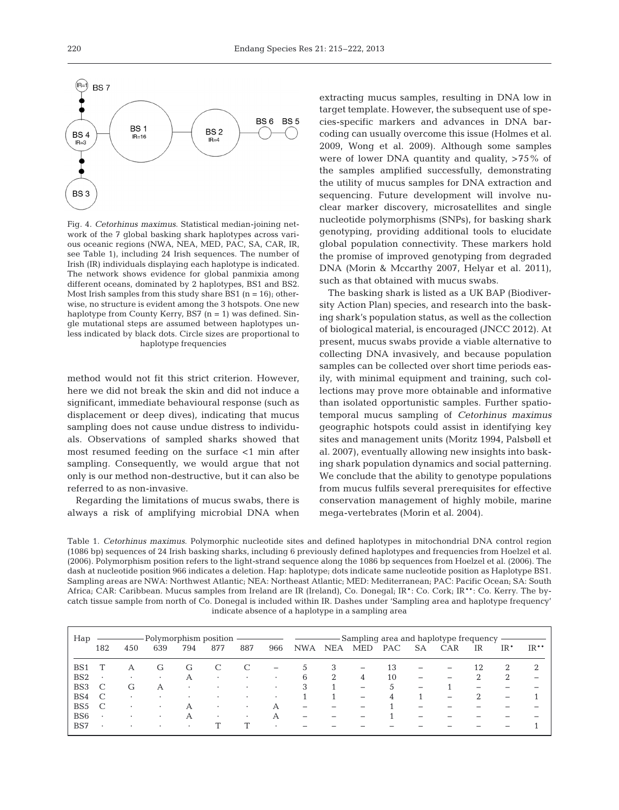

Fig. 4. *Cetorhinus maximus*. Statistical median-joining network of the 7 global basking shark haplotypes across various oceanic regions (NWA, NEA, MED, PAC, SA, CAR, IR, see Table 1), including 24 Irish sequences. The number of Irish (IR) individuals displaying each haplotype is indicated. The network shows evidence for global panmixia among different oceans, dominated by 2 haplotypes, BS1 and BS2. Most Irish samples from this study share BS1 ( $n = 16$ ); otherwise, no structure is evident among the 3 hotspots. One new haplotype from County Kerry, BS7  $(n = 1)$  was defined. Single mutational steps are assumed between haplotypes unless indicated by black dots. Circle sizes are proportional to haplotype frequencies

method would not fit this strict criterion. However, here we did not break the skin and did not induce a significant, immediate behavioural response (such as displacement or deep dives), indicating that mucus sampling does not cause undue distress to individuals. Observations of sampled sharks showed that most resumed feeding on the surface <1 min after sampling. Consequently, we would argue that not only is our method non-destructive, but it can also be referred to as non-invasive.

Regarding the limitations of mucus swabs, there is always a risk of amplifying microbial DNA when extracting mucus samples, resulting in DNA low in target template. However, the subsequent use of species-specific markers and advances in DNA bar coding can usually overcome this issue (Holmes et al. 2009, Wong et al. 2009). Although some samples were of lower DNA quantity and quality, >75% of the samples amplified successfully, demonstrating the utility of mucus samples for DNA extraction and sequencing. Future development will involve nuclear marker discovery, microsatellites and single nucleotide polymorphisms (SNPs), for basking shark genotyping, providing additional tools to elucidate global population connectivity. These markers hold the promise of improved genotyping from degraded DNA (Morin & Mccarthy 2007, Helyar et al. 2011), such as that obtained with mucus swabs.

The basking shark is listed as a UK BAP (Biodiversity Action Plan) species, and research into the basking shark's population status, as well as the collection of biological material, is encouraged (JNCC 2012). At present, mucus swabs provide a viable alternative to collecting DNA invasively, and because population samples can be collected over short time periods easily, with minimal equipment and training, such collections may prove more obtainable and informative than isolated opportunistic samples. Further spatiotemporal mucus sampling of *Cetorhinus maximus* geographic hotspots could assist in identifying key sites and management units (Moritz 1994, Palsbøll et al. 2007), eventually allowing new insights into basking shark population dynamics and social patterning. We conclude that the ability to genotype populations from mucus fulfils several prerequisites for effective conservation management of highly mobile, marine mega-vertebrates (Morin et al. 2004).

Table 1. *Cetorhinus maximus*. Polymorphic nucleotide sites and defined haplotypes in mitochondrial DNA control region (1086 bp) sequences of 24 Irish basking sharks, including 6 previously defined haplotypes and frequencies from Hoelzel et al. (2006). Polymorphism position refers to the light-strand sequence along the 1086 bp sequences from Hoelzel et al. (2006). The dash at nucleotide position 966 indicates a deletion. Hap: haplotype; dots indicate same nucleotide position as Haplotype BS1. Sampling areas are NWA: Northwest Atlantic; NEA: Northeast Atlantic; MED: Mediterranean; PAC: Pacific Ocean; SA: South Africa; CAR: Caribbean. Mucus samples from Ireland are IR (Ireland), Co. Donegal; IR\*: Co. Cork; IR\*\*: Co. Kerry. The bycatch tissue sample from north of Co. Donegal is included within IR. Dashes under 'Sampling area and haplotype frequency' indicate absence of a haplotype in a sampling area

| Hap             | Polymorphism position |           |           |           |           |           |           | -Sampling area and haplotype frequency |            |                          |            |                          |                          |                          |       |        |
|-----------------|-----------------------|-----------|-----------|-----------|-----------|-----------|-----------|----------------------------------------|------------|--------------------------|------------|--------------------------|--------------------------|--------------------------|-------|--------|
|                 | 182                   | 450       | 639       | 794       | 877       | 887       | 966       | <b>NWA</b>                             | <b>NEA</b> | MED                      | <b>PAC</b> | SА                       | <b>CAR</b>               | IR                       | $IR*$ | $IR**$ |
| BS <sub>1</sub> |                       | А         | G         | G         |           |           |           | $\mathcal{L}$                          | 3          | $\overline{\phantom{m}}$ | 13         | $\overline{\phantom{0}}$ | $\overline{\phantom{m}}$ | 12                       | 2     | 2      |
| BS <sub>2</sub> | $\bullet$             | $\bullet$ | $\cdot$   | А         | $\bullet$ | $\bullet$ | $\bullet$ | 6                                      | 2          | 4                        | 10         |                          | $\overline{\phantom{m}}$ | 2                        | 2     |        |
| BS <sub>3</sub> |                       | G         | А         | $\bullet$ | $\bullet$ | $\bullet$ | $\bullet$ | 3                                      |            | $\overline{\phantom{m}}$ | 5          |                          |                          | $\overline{\phantom{m}}$ |       |        |
| BS4             | C                     | ٠         | $\cdot$   |           | $\bullet$ | $\bullet$ | ٠         |                                        |            |                          | 4          |                          |                          | 2                        |       |        |
| BS <sub>5</sub> |                       |           | $\cdot$   | A         | $\bullet$ | $\cdot$   | А         | $\overline{\phantom{m}}$               |            |                          |            |                          |                          |                          |       |        |
| BS <sub>6</sub> | ٠                     |           | $\bullet$ | А         | $\cdot$   | $\cdot$   | А         |                                        |            |                          |            |                          |                          |                          |       |        |
| BS7             | $\cdot$               |           | $\cdot$   | ٠         |           |           | ٠         |                                        |            |                          |            |                          |                          |                          |       |        |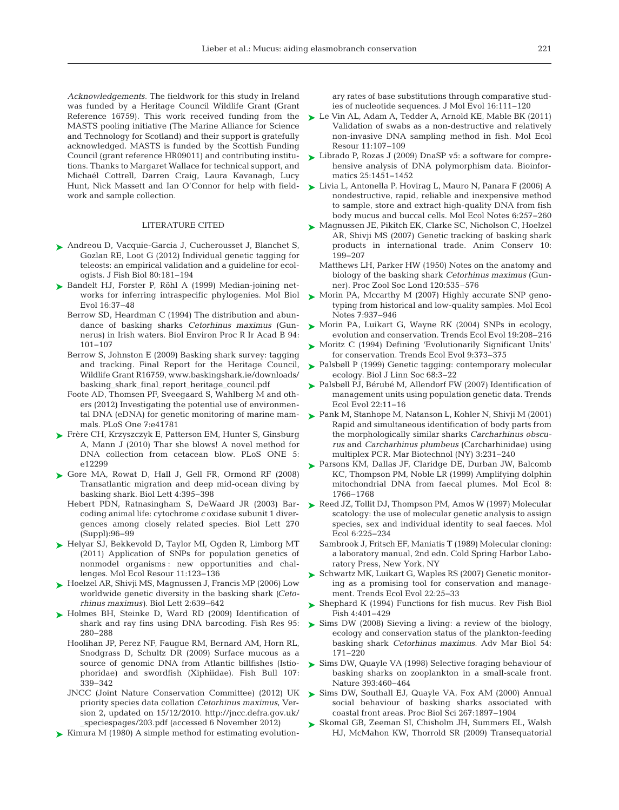*Acknowledgements.* The fieldwork for this study in Ireland was funded by a Heritage Council Wildlife Grant (Grant Reference 16759). This work received funding from the MASTS pooling initiative (The Marine Alliance for Science and Technology for Scotland) and their support is gratefully acknowledged. MASTS is funded by the Scottish Funding Council (grant reference HR09011) and contributing institutions. Thanks to Margaret Wallace for technical support, and Michaél Cottrell, Darren Craig, Laura Kavanagh, Lucy Hunt, Nick Massett and Ian O'Connor for help with fieldwork and sample collection.

#### LITERATURE CITED

- ► [Andreou D, Vacquie-Garcia J, Cucherousset J, Blanchet S,](http://dx.doi.org/10.1111/j.1095-8649.2011.03165.x) Gozlan RE, Loot G (2012) Individual genetic tagging for teleosts:an empirical validation and a guideline for ecologists. J Fish Biol 80: 181−194
- ► [Bandelt HJ, Forster P, Röhl A \(1999\) Median-joining net](http://dx.doi.org/10.1093/oxfordjournals.molbev.a026036)works for inferring intraspecific phylogenies. Mol Biol Evol 16: 37−48
	- Berrow SD, Heardman C (1994) The distribution and abundance of basking sharks *Cetorhinus maximus* (Gunnerus) in Irish waters. Biol Environ Proc R Ir Acad B 94: 101−107
	- Berrow S, Johnston E (2009) Basking shark survey: tagging and tracking. Final Report for the Heritage Council, Wildlife Grant R16759, www.baskingshark.ie/downloads/ basking\_shark\_final\_report\_heritage\_council.pdf
	- Foote AD, Thomsen PF, Sveegaard S, Wahlberg M and others (2012) Investigating the potential use of environmental DNA (eDNA) for genetic monitoring of marine mammals. PLoS One 7:e41781
- [Frère CH, Krzyszczyk E, Patterson EM, Hunter S, Ginsburg](http://dx.doi.org/10.1371/journal.pone.0012299) ➤ A, Mann J (2010) Thar she blows! A novel method for DNA collection from cetacean blow. PLoS ONE 5: e12299
- ▶ [Gore MA, Rowat D, Hall J, Gell FR, Ormond RF \(2008\)](http://dx.doi.org/10.1098/rsbl.2008.0147) Transatlantic migration and deep mid-ocean diving by basking shark. Biol Lett 4: 395−398
	- Hebert PDN, Ratnasingham S, DeWaard JR (2003) Bar coding animal life: cytochrome *c* oxidase subunit 1 divergences among closely related species. Biol Lett 270 (Suppl): 96−99
- [Helyar SJ, Bekkevold D, Taylor MI, Ogden R, Limborg MT](http://dx.doi.org/10.1111/j.1755-0998.2010.02943.x) ➤ (2011) Application of SNPs for population genetics of nonmodel organisms : new opportunities and challenges. Mol Ecol Resour 11: 123−136
- ► [Hoelzel AR, Shivji MS, Magnussen J, Francis MP \(2006\) Low](http://dx.doi.org/10.1098/rsbl.2006.0513) worldwide genetic diversity in the basking shark *(Ceto rhinus maximus*). Biol Lett 2:639-642
- ▶ [Holmes BH, Steinke D, Ward RD \(2009\) Identification of](http://dx.doi.org/10.1016/j.fishres.2008.09.036) shark and ray fins using DNA barcoding. Fish Res 95: 280−288
	- Hoolihan JP, Perez NF, Faugue RM, Bernard AM, Horn RL, Snodgrass D, Schultz DR (2009) Surface mucous as a source of genomic DNA from Atlantic billfishes (Istiophoridae) and swordfish (Xiphiidae). Fish Bull 107: 339−342
	- JNCC (Joint Nature Conservation Committee) (2012) UK priority species data collation *Cetorhinus maximus*, Version 2, updated on 15/12/2010. http://jncc.defra.gov.uk/ \_speciespages/203.pdf (accessed 6 November 2012)
- ► [Kimura M \(1980\) A simple method for estimating evolution-](http://dx.doi.org/10.1007/BF01731581)

ary rates of base substitutions through comparative studies of nucleotide sequences. J Mol Evol 16: 111−120

- [Le Vin AL, Adam A, Tedder A, Arnold KE, Mable BK \(2011\)](http://dx.doi.org/10.1111/j.1755-0998.2010.02909.x) ➤ Validation of swabs as a non-destructive and relatively non-invasive DNA sampling method in fish. Mol Ecol Resour 11: 107−109
- ► Librado P, Rozas J (2009) DnaSP v5: a software for comprehensive analysis of DNA polymorphism data. Bioinformatics 25: 1451−1452
- [Livia L, Antonella P, Hovirag L, Mauro N, Panara F \(2006\) A](http://dx.doi.org/10.1111/j.1471-8286.2005.01142.x) ➤ nondestructive, rapid, reliable and inexpensive method to sample, store and extract high-quality DNA from fish body mucus and buccal cells. Mol Ecol Notes 6: 257−260
- ► [Magnussen JE, Pikitch EK, Clarke SC, Nicholson C, Hoelzel](http://dx.doi.org/10.1111/j.1469-1795.2006.00088.x) AR, Shivji MS (2007) Genetic tracking of basking shark products in international trade. Anim Conserv 10: 199−207
	- Matthews LH, Parker HW (1950) Notes on the anatomy and biology of the basking shark *Cetorhinus maximus* (Gunner). Proc Zool Soc Lond 120:535–576
- ► [Morin PA, Mccarthy M \(2007\) Highly accurate SNP geno](http://dx.doi.org/10.1111/j.1471-8286.2007.01804.x)typing from historical and low-quality samples. Mol Ecol Notes 7: 937−946
- ► [Morin PA, Luikart G, Wayne RK \(2004\) SNPs in ecology,](http://dx.doi.org/10.1016/j.tree.2004.01.009) evolution and conservation. Trends Ecol Evol 19:208-216
- ▶ [Moritz C \(1994\) Defining 'Evolutionarily Significant Units'](http://dx.doi.org/10.1016/0169-5347(94)90057-4) for conservation. Trends Ecol Evol 9: 373−375
- ► Palsbøll P (1999) Genetic tagging: contemporary molecular ecology. Biol J Linn Soc 68:3-22
- ► [Palsbøll PJ, Bérubé M, Allendorf FW \(2007\) Identification of](http://dx.doi.org/10.1016/j.tree.2006.09.003) management units using population genetic data. Trends Ecol Evol 22: 11−16
- [Pank M, Stanhope M, Natanson L, Kohler N, Shivji M \(2001\)](http://dx.doi.org/10.1007/s101260000071) ➤ Rapid and simultaneous identification of body parts from the morphologically similar sharks *Carcharhinus obscurus* and *Carcharhinus plumbeus* (Carcharhinidae) using multiplex PCR. Mar Biotechnol (NY) 3: 231−240
- [Parsons KM, Dallas JF, Claridge DE, Durban JW, Balcomb](http://dx.doi.org/10.1046/j.1365-294x.1999.00723-8.x) ➤ KC, Thompson PM, Noble LR (1999) Amplifying dolphin mitochondrial DNA from faecal plumes. Mol Ecol 8: 1766−1768
- ▶ [Reed JZ, Tollit DJ, Thompson PM, Amos W \(1997\) Molecular](http://dx.doi.org/10.1046/j.1365-294X.1997.00175.x) scatology: the use of molecular genetic analysis to assign species, sex and individual identity to seal faeces. Mol Ecol 6: 225−234
	- Sambrook J, Fritsch EF, Maniatis T (1989) Molecular cloning: a laboratory manual, 2nd edn. Cold Spring Harbor Laboratory Press, New York, NY
- ▶ [Schwartz MK, Luikart G, Waples RS \(2007\) Genetic monitor](http://dx.doi.org/10.1016/j.tree.2006.08.009)ing as a promising tool for conservation and management. Trends Ecol Evol 22:25-33
- ▶ [Shephard K \(1994\) Functions for fish mucus. Rev Fish Biol](http://dx.doi.org/10.1007/BF00042888) Fish 4: 401−429
- ► Sims DW (2008) Sieving a living: a review of the biology, ecology and conservation status of the plankton-feeding basking shark *Cetorhinus maximus.* Adv Mar Biol 54: 171−220
- ► [Sims DW, Quayle VA \(1998\) Selective foraging behaviour of](http://dx.doi.org/10.1038/30959) basking sharks on zooplankton in a small-scale front. Nature 393:460-464
- ► [Sims DW, Southall EJ, Quayle VA, Fox AM \(2000\) Annual](http://dx.doi.org/10.1098/rspb.2000.1227) social behaviour of basking sharks associated with coastal front areas. Proc Biol Sci 267: 1897−1904
- ▶ [Skomal GB, Zeeman SI, Chisholm JH, Summers EL, Walsh](http://dx.doi.org/10.1016/j.cub.2009.04.019) HJ, McMahon KW, Thorrold SR (2009) Transequatorial